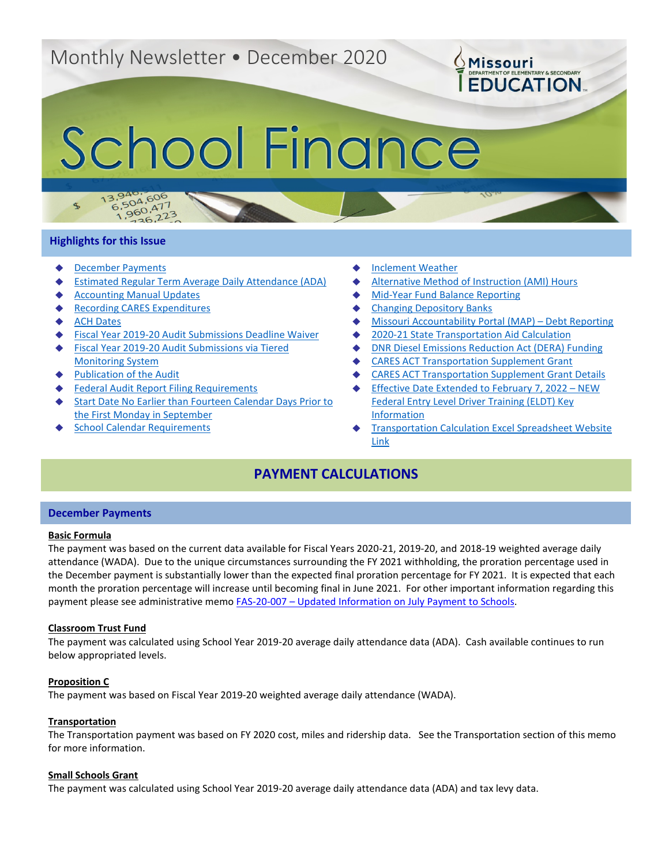# Monthly Newsletter • December 2020

# School Finance

# **Highlights for this Issue**

 $\mathcal{F}$ 

 $13.94$ 

- **[December Payments](#page-0-0)**
- **[Estimated Regular Term Average Daily Attendance \(ADA\)](#page-1-0)**
- **[Accounting Manual Updates](#page-1-1)**
- **[Recording CARES Expenditures](#page-1-2)**

3,940,606<br>6,504,606

 $5,504,600$ <br>1,960,477

 $50^{14}$ <br>36,223

- **[ACH Dates](#page-2-0)**
- [Fiscal Year 2019-20 Audit Submissions Deadline Waiver](#page-2-1)
- **Fiscal Year 2019-20 Audit Submissions via Tiered** [Monitoring System](#page-2-2)
- **[Publication of the Audit](#page-3-0)**
- **[Federal Audit Report Filing Requirements](#page-3-1)**
- **Start Date No Earlier than Fourteen Calendar Days Prior to** [the First Monday in September](#page-4-0)
- **[School Calendar Requirements](#page-4-1)**
- **[Inclement Weather](#page-4-2)**
- **[Alternative Method of Instruction \(AMI\) Hours](#page-5-0)**
- **[Mid-Year Fund Balance Reporting](#page-5-1)**
- **[Changing Depository Banks](#page-5-2)**
- ◆ [Missouri Accountability Portal \(MAP\) –](#page-5-3) Debt Reporting

**OMissouri** 

**EDUCATION** 

- [2020-21 State Transportation Aid Calculation](#page-5-4)
- **[DNR Diesel Emissions Reduction Act \(DERA\) Funding](#page-6-0)**
- **[CARES ACT Transportation Supplement Grant](#page-6-1)**
- ◆ [CARES ACT Transportation Supplement Grant Details](#page-6-2)
- **[Effective Date Extended to February 7, 2022 –](#page-6-3) NEW** [Federal Entry Level Driver Training \(ELDT\) Key](#page-6-3)  [Information](#page-6-3)
- **Transportation Calculation Excel Spreadsheet Website** [Link](#page-7-0)

# **PAYMENT CALCULATIONS**

# <span id="page-0-0"></span>**December Payments**

# **Basic Formula**

The payment was based on the current data available for Fiscal Years 2020-21, 2019-20, and 2018-19 weighted average daily attendance (WADA). Due to the unique circumstances surrounding the FY 2021 withholding, the proration percentage used in the December payment is substantially lower than the expected final proration percentage for FY 2021. It is expected that each month the proration percentage will increase until becoming final in June 2021. For other important information regarding this payment please see administrative memo FAS-20-007 – [Updated Information on July Payment to Schools.](https://dese.mo.gov/sites/default/files/am/documents/FAS-20-007.pdf)

# **Classroom Trust Fund**

The payment was calculated using School Year 2019-20 average daily attendance data (ADA). Cash available continues to run below appropriated levels.

# **Proposition C**

The payment was based on Fiscal Year 2019-20 weighted average daily attendance (WADA).

# **Transportation**

The Transportation payment was based on FY 2020 cost, miles and ridership data. See the Transportation section of this memo for more information.

# **Small Schools Grant**

The payment was calculated using School Year 2019-20 average daily attendance data (ADA) and tax levy data.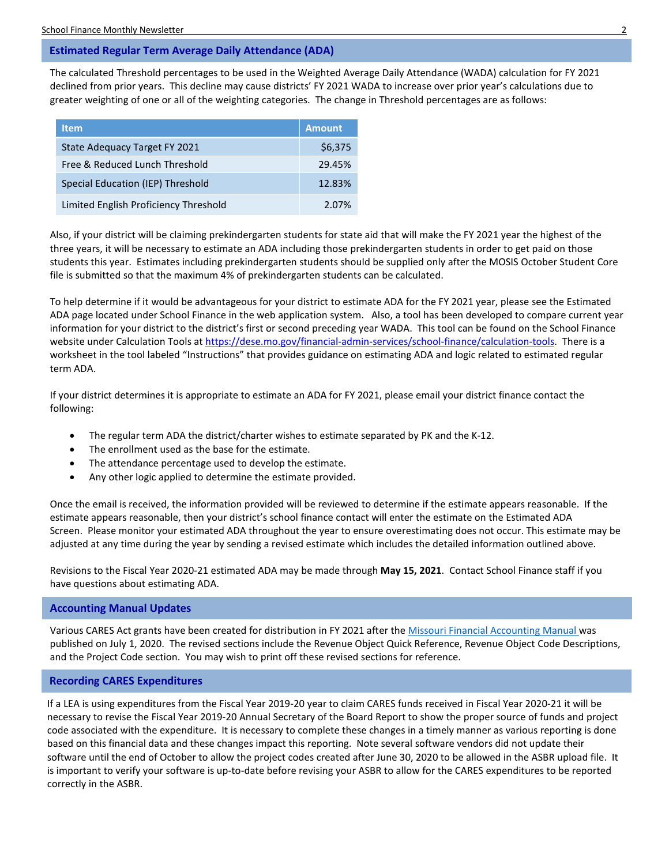# <span id="page-1-0"></span>**Estimated Regular Term Average Daily Attendance (ADA)**

The calculated Threshold percentages to be used in the Weighted Average Daily Attendance (WADA) calculation for FY 2021 declined from prior years. This decline may cause districts' FY 2021 WADA to increase over prior year's calculations due to greater weighting of one or all of the weighting categories. The change in Threshold percentages are as follows:

| <b>Item</b>                           | <b>Amount</b> |
|---------------------------------------|---------------|
| State Adequacy Target FY 2021         | \$6,375       |
| Free & Reduced Lunch Threshold        | 29.45%        |
| Special Education (IEP) Threshold     | 12.83%        |
| Limited English Proficiency Threshold | 2.07%         |

Also, if your district will be claiming prekindergarten students for state aid that will make the FY 2021 year the highest of the three years, it will be necessary to estimate an ADA including those prekindergarten students in order to get paid on those students this year. Estimates including prekindergarten students should be supplied only after the MOSIS October Student Core file is submitted so that the maximum 4% of prekindergarten students can be calculated.

To help determine if it would be advantageous for your district to estimate ADA for the FY 2021 year, please see the Estimated ADA page located under School Finance in the web application system. Also, a tool has been developed to compare current year information for your district to the district's first or second preceding year WADA. This tool can be found on the School Finance website under Calculation Tools at [https://dese.mo.gov/financial-admin-services/school-finance/calculation-tools.](https://dese.mo.gov/financial-admin-services/school-finance/calculation-tools) There is a worksheet in the tool labeled "Instructions" that provides guidance on estimating ADA and logic related to estimated regular term ADA.

If your district determines it is appropriate to estimate an ADA for FY 2021, please email your district finance contact the following:

- The regular term ADA the district/charter wishes to estimate separated by PK and the K-12.
- The enrollment used as the base for the estimate.
- The attendance percentage used to develop the estimate.
- Any other logic applied to determine the estimate provided.

Once the email is received, the information provided will be reviewed to determine if the estimate appears reasonable. If the estimate appears reasonable, then your district's school finance contact will enter the estimate on the Estimated ADA Screen. Please monitor your estimated ADA throughout the year to ensure overestimating does not occur. This estimate may be adjusted at any time during the year by sending a revised estimate which includes the detailed information outlined above.

Revisions to the Fiscal Year 2020-21 estimated ADA may be made through **May 15, 2021**. Contact School Finance staff if you have questions about estimating ADA.

# <span id="page-1-1"></span>**Accounting Manual Updates**

Various CARES Act grants have been created for distribution in FY 2021 after th[e Missouri Financial Accounting Manual](https://dese.mo.gov/financial-admin-services/school-finance/accounting-manual) was published on July 1, 2020. The revised sections include the Revenue Object Quick Reference, Revenue Object Code Descriptions, and the Project Code section. You may wish to print off these revised sections for reference.

# <span id="page-1-2"></span>**Recording CARES Expenditures**

If a LEA is using expenditures from the Fiscal Year 2019-20 year to claim CARES funds received in Fiscal Year 2020-21 it will be necessary to revise the Fiscal Year 2019-20 Annual Secretary of the Board Report to show the proper source of funds and project code associated with the expenditure. It is necessary to complete these changes in a timely manner as various reporting is done based on this financial data and these changes impact this reporting. Note several software vendors did not update their software until the end of October to allow the project codes created after June 30, 2020 to be allowed in the ASBR upload file. It is important to verify your software is up-to-date before revising your ASBR to allow for the CARES expenditures to be reported correctly in the ASBR.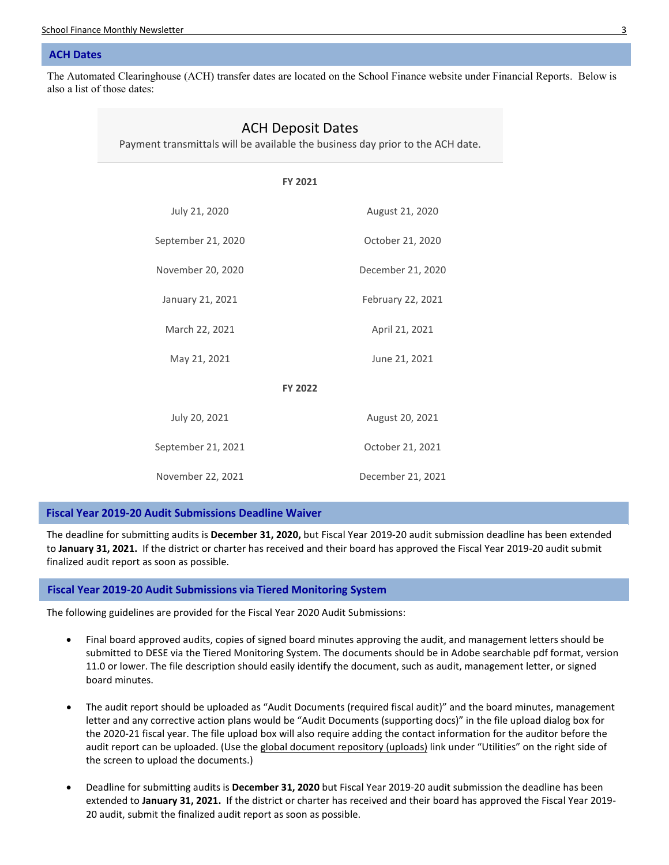School Finance Monthly Newsletter 3

### <span id="page-2-0"></span>**ACH Dates**

The Automated Clearinghouse (ACH) transfer dates are located on the School Finance website under Financial Reports. Below is also a list of those dates:

| <b>ACH Deposit Dates</b><br>Payment transmittals will be available the business day prior to the ACH date. |                   |  |  |
|------------------------------------------------------------------------------------------------------------|-------------------|--|--|
| <b>FY 2021</b>                                                                                             |                   |  |  |
| July 21, 2020                                                                                              | August 21, 2020   |  |  |
| September 21, 2020                                                                                         | October 21, 2020  |  |  |
| November 20, 2020                                                                                          | December 21, 2020 |  |  |
| January 21, 2021                                                                                           | February 22, 2021 |  |  |
| March 22, 2021                                                                                             | April 21, 2021    |  |  |
| May 21, 2021                                                                                               | June 21, 2021     |  |  |
| <b>FY 2022</b>                                                                                             |                   |  |  |
| July 20, 2021                                                                                              | August 20, 2021   |  |  |
| September 21, 2021                                                                                         | October 21, 2021  |  |  |
| November 22, 2021                                                                                          | December 21, 2021 |  |  |

# <span id="page-2-1"></span>**Fiscal Year 2019-20 Audit Submissions Deadline Waiver**

The deadline for submitting audits is **December 31, 2020,** but Fiscal Year 2019-20 audit submission deadline has been extended to **January 31, 2021.** If the district or charter has received and their board has approved the Fiscal Year 2019-20 audit submit finalized audit report as soon as possible.

# <span id="page-2-2"></span>**Fiscal Year 2019-20 Audit Submissions via Tiered Monitoring System**

The following guidelines are provided for the Fiscal Year 2020 Audit Submissions:

- Final board approved audits, copies of signed board minutes approving the audit, and management letters should be submitted to DESE via the Tiered Monitoring System. The documents should be in Adobe searchable pdf format, version 11.0 or lower. The file description should easily identify the document, such as audit, management letter, or signed board minutes.
- The audit report should be uploaded as "Audit Documents (required fiscal audit)" and the board minutes, management letter and any corrective action plans would be "Audit Documents (supporting docs)" in the file upload dialog box for the 2020-21 fiscal year. The file upload box will also require adding the contact information for the auditor before the audit report can be uploaded. (Use the global document repository (uploads) link under "Utilities" on the right side of the screen to upload the documents.)
- Deadline for submitting audits is **December 31, 2020** but Fiscal Year 2019-20 audit submission the deadline has been extended to **January 31, 2021.** If the district or charter has received and their board has approved the Fiscal Year 2019- 20 audit, submit the finalized audit report as soon as possible.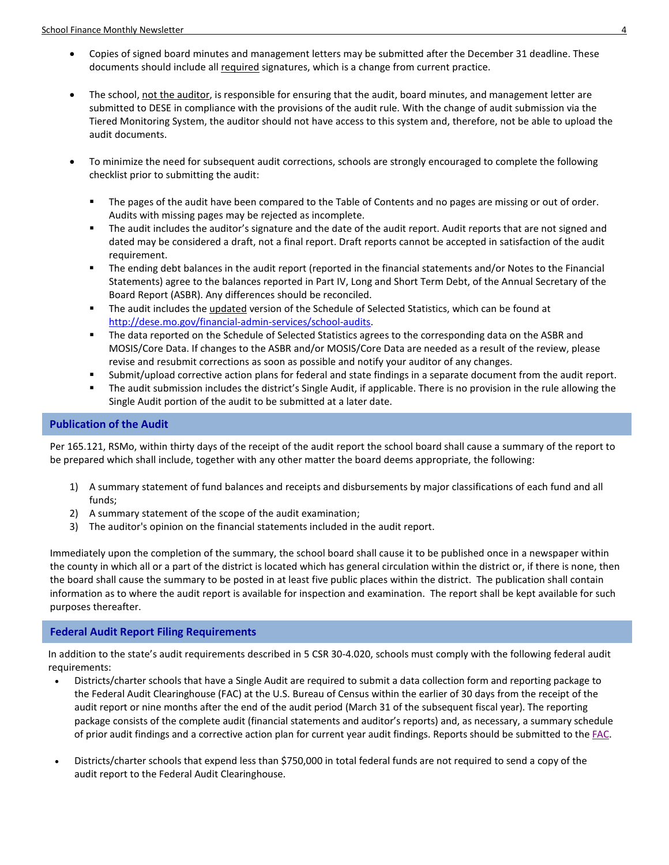- Copies of signed board minutes and management letters may be submitted after the December 31 deadline. These documents should include all required signatures, which is a change from current practice.
- The school, not the auditor, is responsible for ensuring that the audit, board minutes, and management letter are submitted to DESE in compliance with the provisions of the audit rule. With the change of audit submission via the Tiered Monitoring System, the auditor should not have access to this system and, therefore, not be able to upload the audit documents.
- To minimize the need for subsequent audit corrections, schools are strongly encouraged to complete the following checklist prior to submitting the audit:
	- The pages of the audit have been compared to the Table of Contents and no pages are missing or out of order. Audits with missing pages may be rejected as incomplete.
	- The audit includes the auditor's signature and the date of the audit report. Audit reports that are not signed and dated may be considered a draft, not a final report. Draft reports cannot be accepted in satisfaction of the audit requirement.
	- The ending debt balances in the audit report (reported in the financial statements and/or Notes to the Financial Statements) agree to the balances reported in Part IV, Long and Short Term Debt, of the Annual Secretary of the Board Report (ASBR). Any differences should be reconciled.
	- The audit includes the updated version of the Schedule of Selected Statistics, which can be found at [http://dese.mo.gov/financial-admin-services/school-audits.](http://dese.mo.gov/financial-admin-services/school-audits)
	- The data reported on the Schedule of Selected Statistics agrees to the corresponding data on the ASBR and MOSIS/Core Data. If changes to the ASBR and/or MOSIS/Core Data are needed as a result of the review, please revise and resubmit corrections as soon as possible and notify your auditor of any changes.
	- Submit/upload corrective action plans for federal and state findings in a separate document from the audit report.
	- The audit submission includes the district's Single Audit, if applicable. There is no provision in the rule allowing the Single Audit portion of the audit to be submitted at a later date.

# <span id="page-3-0"></span>**Publication of the Audit**

Per 165.121, RSMo, within thirty days of the receipt of the audit report the school board shall cause a summary of the report to be prepared which shall include, together with any other matter the board deems appropriate, the following:

- 1) A summary statement of fund balances and receipts and disbursements by major classifications of each fund and all funds;
- 2) A summary statement of the scope of the audit examination;
- 3) The auditor's opinion on the financial statements included in the audit report.

Immediately upon the completion of the summary, the school board shall cause it to be published once in a newspaper within the county in which all or a part of the district is located which has general circulation within the district or, if there is none, then the board shall cause the summary to be posted in at least five public places within the district. The publication shall contain information as to where the audit report is available for inspection and examination. The report shall be kept available for such purposes thereafter.

# <span id="page-3-1"></span>**Federal Audit Report Filing Requirements**

In addition to the state's audit requirements described in 5 CSR 30-4.020, schools must comply with the following federal audit requirements:

- Districts/charter schools that have a Single Audit are required to submit a data collection form and reporting package to the Federal Audit Clearinghouse (FAC) at the U.S. Bureau of Census within the earlier of 30 days from the receipt of the audit report or nine months after the end of the audit period (March 31 of the subsequent fiscal year). The reporting package consists of the complete audit (financial statements and auditor's reports) and, as necessary, a summary schedule of prior audit findings and a corrective action plan for current year audit findings. Reports should be submitted to th[e FAC.](https://harvester.census.gov/facweb/Default.aspx/ddeindex.html)
- Districts/charter schools that expend less than \$750,000 in total federal funds are not required to send a copy of the audit report to the Federal Audit Clearinghouse.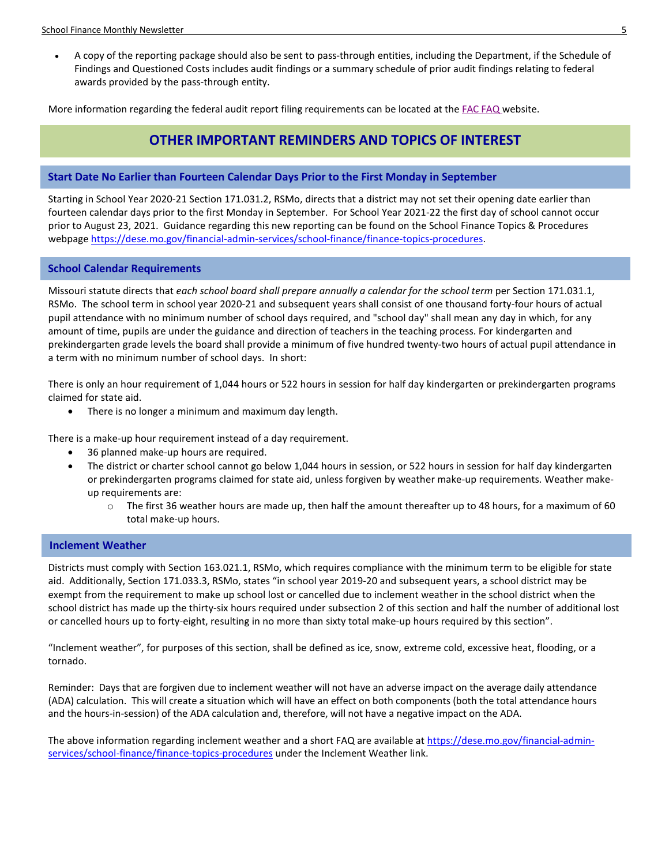• A copy of the reporting package should also be sent to pass-through entities, including the Department, if the Schedule of Findings and Questioned Costs includes audit findings or a summary schedule of prior audit findings relating to federal awards provided by the pass-through entity.

More information regarding the federal audit report filing requirements can be located at the FAC [FAQ](https://harvester.census.gov/facweb/FAQs.aspx) website.

# **OTHER IMPORTANT REMINDERS AND TOPICS OF INTEREST**

# <span id="page-4-0"></span>**Start Date No Earlier than Fourteen Calendar Days Prior to the First Monday in September**

Starting in School Year 2020-21 Section 171.031.2, RSMo, directs that a district may not set their opening date earlier than fourteen calendar days prior to the first Monday in September. For School Year 2021-22 the first day of school cannot occur prior to August 23, 2021. Guidance regarding this new reporting can be found on the School Finance Topics & Procedures webpag[e https://dese.mo.gov/financial-admin-services/school-finance/finance-topics-procedures.](https://dese.mo.gov/financial-admin-services/school-finance/finance-topics-procedures)

# <span id="page-4-1"></span>**School Calendar Requirements**

Missouri statute directs that *each school board shall prepare annually a calendar for the school term* per Section 171.031.1, RSMo. The school term in school year 2020-21 and subsequent years shall consist of one thousand forty-four hours of actual pupil attendance with no minimum number of school days required, and "school day" shall mean any day in which, for any amount of time, pupils are under the guidance and direction of teachers in the teaching process. For kindergarten and prekindergarten grade levels the board shall provide a minimum of five hundred twenty-two hours of actual pupil attendance in a term with no minimum number of school days. In short:

There is only an hour requirement of 1,044 hours or 522 hours in session for half day kindergarten or prekindergarten programs claimed for state aid.

• There is no longer a minimum and maximum day length.

There is a make-up hour requirement instead of a day requirement.

- 36 planned make-up hours are required.
- The district or charter school cannot go below 1,044 hours in session, or 522 hours in session for half day kindergarten or prekindergarten programs claimed for state aid, unless forgiven by weather make-up requirements. Weather makeup requirements are:
	- $\circ$  The first 36 weather hours are made up, then half the amount thereafter up to 48 hours, for a maximum of 60 total make-up hours.

# <span id="page-4-2"></span>**Inclement Weather**

Districts must comply with Section 163.021.1, RSMo, which requires compliance with the minimum term to be eligible for state aid. Additionally, Section 171.033.3, RSMo, states "in school year 2019-20 and subsequent years, a school district may be exempt from the requirement to make up school lost or cancelled due to inclement weather in the school district when the school district has made up the thirty-six hours required under subsection 2 of this section and half the number of additional lost or cancelled hours up to forty-eight, resulting in no more than sixty total make-up hours required by this section".

"Inclement weather", for purposes of this section, shall be defined as ice, snow, extreme cold, excessive heat, flooding, or a tornado.

Reminder: Days that are forgiven due to inclement weather will not have an adverse impact on the average daily attendance (ADA) calculation. This will create a situation which will have an effect on both components (both the total attendance hours and the hours-in-session) of the ADA calculation and, therefore, will not have a negative impact on the ADA.

The above information regarding inclement weather and a short FAQ are available at [https://dese.mo.gov/financial-admin](https://dese.mo.gov/financial-admin-services/school-finance/finance-topics-procedures)[services/school-finance/finance-topics-procedures](https://dese.mo.gov/financial-admin-services/school-finance/finance-topics-procedures) under the Inclement Weather link.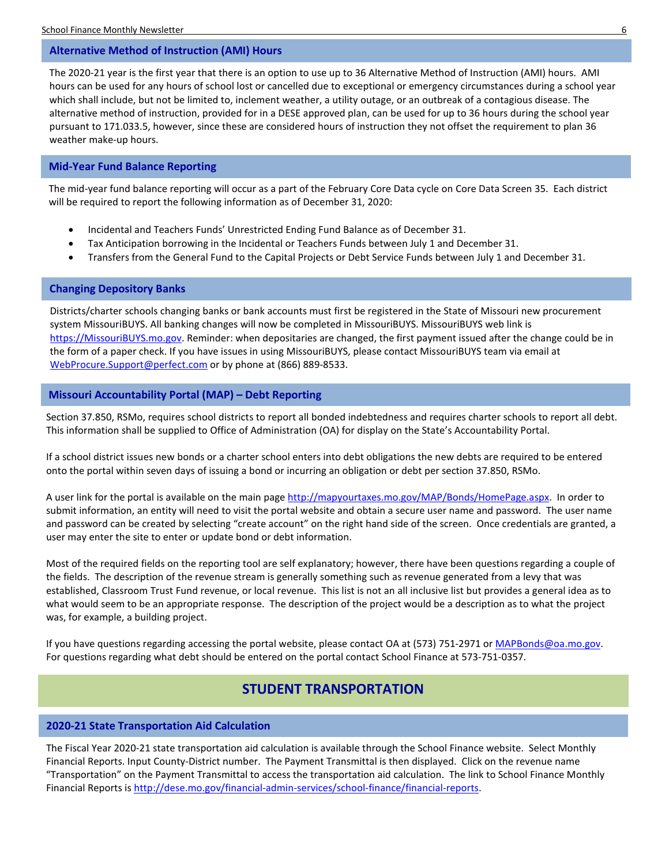# <span id="page-5-0"></span>**Alternative Method of Instruction (AMI) Hours**

The 2020-21 year is the first year that there is an option to use up to 36 Alternative Method of Instruction (AMI) hours. AMI hours can be used for any hours of school lost or cancelled due to exceptional or emergency circumstances during a school year which shall include, but not be limited to, inclement weather, a utility outage, or an outbreak of a contagious disease. The alternative method of instruction, provided for in a DESE approved plan, can be used for up to 36 hours during the school year pursuant to 171.033.5, however, since these are considered hours of instruction they not offset the requirement to plan 36 weather make-up hours.

### <span id="page-5-1"></span>**Mid-Year Fund Balance Reporting**

The mid-year fund balance reporting will occur as a part of the February Core Data cycle on Core Data Screen 35. Each district will be required to report the following information as of December 31, 2020:

- Incidental and Teachers Funds' Unrestricted Ending Fund Balance as of December 31.
- Tax Anticipation borrowing in the Incidental or Teachers Funds between July 1 and December 31.
- Transfers from the General Fund to the Capital Projects or Debt Service Funds between July 1 and December 31.

# <span id="page-5-2"></span>**Changing Depository Banks**

Districts/charter schools changing banks or bank accounts must first be registered in the State of Missouri new procurement system MissouriBUYS. All banking changes will now be completed in MissouriBUYS. MissouriBUYS web link is [https://MissouriBUYS.mo.gov.](https://missouribuys.mo.gov/) Reminder: when depositaries are changed, the first payment issued after the change could be in the form of a paper check. If you have issues in using MissouriBUYS, please contact MissouriBUYS team via email at [WebProcure.Support@perfect.com](mailto:WebProcure.Support@perfect.com) or by phone at (866) 889-8533.

# <span id="page-5-3"></span>**Missouri Accountability Portal (MAP) – Debt Reporting**

Section 37.850, RSMo, requires school districts to report all bonded indebtedness and requires charter schools to report all debt. This information shall be supplied to Office of Administration (OA) for display on the State's Accountability Portal.

If a school district issues new bonds or a charter school enters into debt obligations the new debts are required to be entered onto the portal within seven days of issuing a bond or incurring an obligation or debt per section 37.850, RSMo.

A user link for the portal is available on the main pag[e http://mapyourtaxes.mo.gov/MAP/Bonds/HomePage.aspx.](http://mapyourtaxes.mo.gov/MAP/Bonds/HomePage.aspx) In order to submit information, an entity will need to visit the portal website and obtain a secure user name and password. The user name and password can be created by selecting "create account" on the right hand side of the screen. Once credentials are granted, a user may enter the site to enter or update bond or debt information.

Most of the required fields on the reporting tool are self explanatory; however, there have been questions regarding a couple of the fields. The description of the revenue stream is generally something such as revenue generated from a levy that was established, Classroom Trust Fund revenue, or local revenue. This list is not an all inclusive list but provides a general idea as to what would seem to be an appropriate response. The description of the project would be a description as to what the project was, for example, a building project.

If you have questions regarding accessing the portal website, please contact OA at (573) 751-2971 o[r MAPBonds@oa.mo.gov.](mailto:MAPBonds@oa.mo.gov) For questions regarding what debt should be entered on the portal contact School Finance at 573-751-0357.

# **STUDENT TRANSPORTATION**

# <span id="page-5-4"></span>**2020-21 State Transportation Aid Calculation**

The Fiscal Year 2020-21 state transportation aid calculation is available through the School Finance website. Select Monthly Financial Reports. Input County-District number. The Payment Transmittal is then displayed. Click on the revenue name "Transportation" on the Payment Transmittal to access the transportation aid calculation. The link to School Finance Monthly Financial Reports i[s http://dese.mo.gov/financial-admin-services/school-finance/financial-reports.](http://dese.mo.gov/financial-admin-services/school-finance/financial-reports)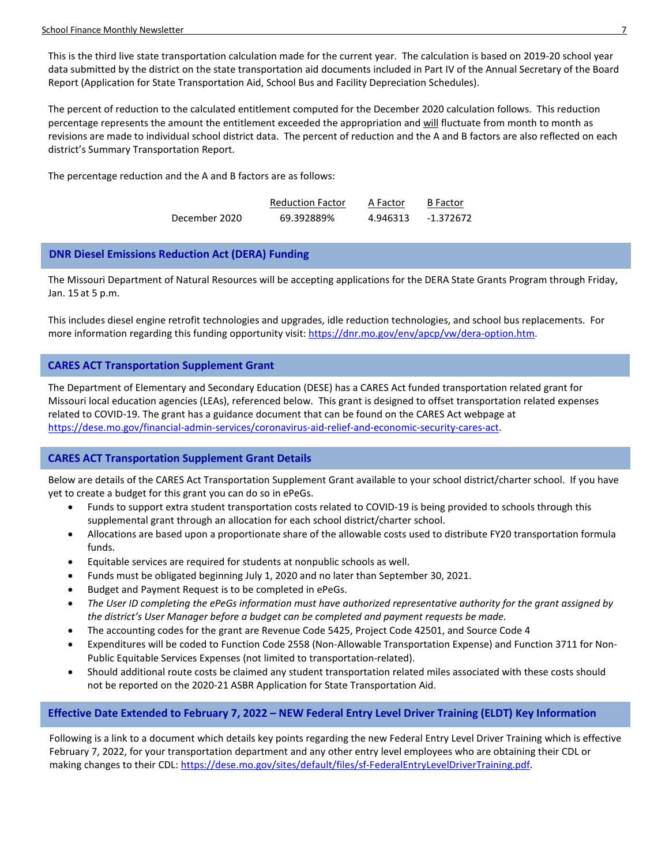This is the third live state transportation calculation made for the current year. The calculation is based on 2019-20 school year data submitted by the district on the state transportation aid documents included in Part IV of the Annual Secretary of the Board Report (Application for State Transportation Aid, School Bus and Facility Depreciation Schedules).

The percent of reduction to the calculated entitlement computed for the December 2020 calculation follows. This reduction percentage represents the amount the entitlement exceeded the appropriation and will fluctuate from month to month as revisions are made to individual school district data. The percent of reduction and the A and B factors are also reflected on each district's Summary Transportation Report.

The percentage reduction and the A and B factors are as follows:

|               | <b>Reduction Factor</b> | A Factor | <b>B</b> Factor |
|---------------|-------------------------|----------|-----------------|
| December 2020 | 69.392889%              | 4.946313 | $-1.372672$     |

# <span id="page-6-0"></span>**DNR Diesel Emissions Reduction Act (DERA) Funding**

The Missouri Department of Natural Resources will be accepting applications for the DERA State Grants Program through Friday, Jan. 15 at 5 p.m.

This includes diesel engine retrofit technologies and upgrades, idle reduction technologies, and school bus replacements. For more information regarding this funding opportunity visit: [https://dnr.mo.gov/env/apcp/vw/dera-option.htm.](https://dnr.mo.gov/env/apcp/vw/dera-option.htm)

# <span id="page-6-1"></span>**CARES ACT Transportation Supplement Grant**

The Department of Elementary and Secondary Education (DESE) has a CARES Act funded transportation related grant for Missouri local education agencies (LEAs), referenced below. This grant is designed to offset transportation related expenses related to COVID-19. The grant has a guidance document that can be found on the CARES Act webpage at [https://dese.mo.gov/financial-admin-services/coronavirus-aid-relief-and-economic-security-cares-act.](https://dese.mo.gov/financial-admin-services/coronavirus-aid-relief-and-economic-security-cares-act)

# <span id="page-6-2"></span>**CARES ACT Transportation Supplement Grant Details**

Below are details of the CARES Act Transportation Supplement Grant available to your school district/charter school. If you have yet to create a budget for this grant you can do so in ePeGs.

- Funds to support extra student transportation costs related to COVID-19 is being provided to schools through this supplemental grant through an allocation for each school district/charter school.
- Allocations are based upon a proportionate share of the allowable costs used to distribute FY20 transportation formula funds.
- Equitable services are required for students at nonpublic schools as well.
- Funds must be obligated beginning July 1, 2020 and no later than September 30, 2021.
- Budget and Payment Request is to be completed in ePeGs.
- *The User ID completing the ePeGs information must have authorized representative authority for the grant assigned by the district's User Manager before a budget can be completed and payment requests be made.*
- The accounting codes for the grant are Revenue Code 5425, Project Code 42501, and Source Code 4
- Expenditures will be coded to Function Code 2558 (Non-Allowable Transportation Expense) and Function 3711 for Non-Public Equitable Services Expenses (not limited to transportation-related).
- Should additional route costs be claimed any student transportation related miles associated with these costs should not be reported on the 2020-21 ASBR Application for State Transportation Aid.

# <span id="page-6-3"></span>**Effective Date Extended to February 7, 2022 – NEW Federal Entry Level Driver Training (ELDT) Key Information**

Following is a link to a document which details key points regarding the new Federal Entry Level Driver Training which is effective February 7, 2022, for your transportation department and any other entry level employees who are obtaining their CDL or making changes to their CDL[: https://dese.mo.gov/sites/default/files/sf-FederalEntryLevelDriverTraining.pdf.](https://dese.mo.gov/sites/default/files/sf-FederalEntryLevelDriverTraining.pdf)